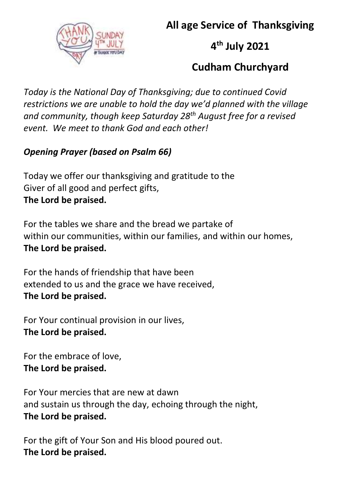**All age Service of Thanksgiving** 



# **4 th July 2021**

# **Cudham Churchyard**

*Today is the National Day of Thanksgiving; due to continued Covid restrictions we are unable to hold the day we'd planned with the village and community, though keep Saturday 28th August free for a revised event. We meet to thank God and each other!*

# *Opening Prayer (based on Psalm 66)*

Today we offer our thanksgiving and gratitude to the Giver of all good and perfect gifts, **The Lord be praised.**

For the tables we share and the bread we partake of within our communities, within our families, and within our homes, **The Lord be praised.**

For the hands of friendship that have been extended to us and the grace we have received, **The Lord be praised.**

For Your continual provision in our lives, **The Lord be praised.**

For the embrace of love, **The Lord be praised.**

For Your mercies that are new at dawn and sustain us through the day, echoing through the night, **The Lord be praised.**

For the gift of Your Son and His blood poured out. **The Lord be praised.**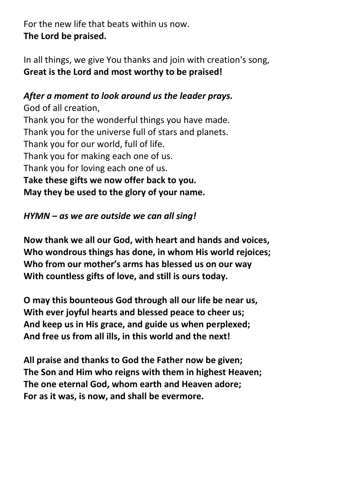For the new life that beats within us now. **The Lord be praised.**

In all things, we give You thanks and join with creation's song, **Great is the Lord and most worthy to be praised!**

## *After a moment to look around us the leader prays.*

God of all creation, Thank you for the wonderful things you have made. Thank you for the universe full of stars and planets. Thank you for our world, full of life. Thank you for making each one of us. Thank you for loving each one of us. **Take these gifts we now offer back to you. May they be used to the glory of your name.**

#### *HYMN* **–** *as we are outside we can all sing!*

**Now thank we all our God, with heart and hands and voices, Who wondrous things has done, in whom His world rejoices; Who from our mother's arms has blessed us on our way With countless gifts of love, and still is ours today.**

**O may this bounteous God through all our life be near us, With ever joyful hearts and blessed peace to cheer us; And keep us in His grace, and guide us when perplexed; And free us from all ills, in this world and the next!**

**All praise and thanks to God the Father now be given; The Son and Him who reigns with them in highest Heaven; The one eternal God, whom earth and Heaven adore; For as it was, is now, and shall be evermore.**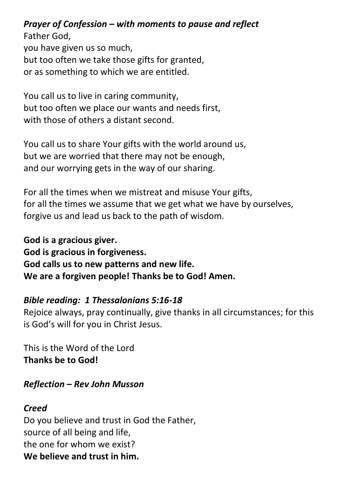## *Prayer of Confession* **–** *with moments to pause and reflect*

Father God, you have given us so much, but too often we take those gifts for granted, or as something to which we are entitled.

You call us to live in caring community, but too often we place our wants and needs first, with those of others a distant second.

You call us to share Your gifts with the world around us, but we are worried that there may not be enough, and our worrying gets in the way of our sharing.

For all the times when we mistreat and misuse Your gifts, for all the times we assume that we get what we have by ourselves, forgive us and lead us back to the path of wisdom.

**God is a gracious giver. God is gracious in forgiveness. God calls us to new patterns and new life. We are a forgiven people! Thanks be to God! Amen.**

#### *Bible reading: 1 Thessalonians 5:16-18*

Rejoice always, pray continually, give thanks in all circumstances; for this is God's will for you in Christ Jesus.

This is the Word of the Lord **Thanks be to God!**

#### *Reflection* **–** *Rev John Musson*

## *Creed*

Do you believe and trust in God the Father, source of all being and life, the one for whom we exist? **We believe and trust in him.**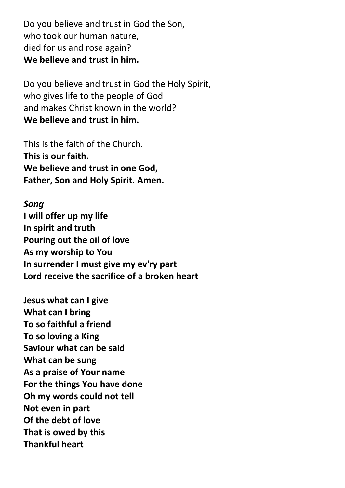Do you believe and trust in God the Son, who took our human nature, died for us and rose again? **We believe and trust in him.**

Do you believe and trust in God the Holy Spirit, who gives life to the people of God and makes Christ known in the world? **We believe and trust in him.**

This is the faith of the Church. **This is our faith. We believe and trust in one God, Father, Son and Holy Spirit. Amen.**

*Song* **I will offer up my life In spirit and truth Pouring out the oil of love As my worship to You In surrender I must give my ev'ry part Lord receive the sacrifice of a broken heart**

**Jesus what can I give What can I bring To so faithful a friend To so loving a King Saviour what can be said What can be sung As a praise of Your name For the things You have done Oh my words could not tell Not even in part Of the debt of love That is owed by this Thankful heart**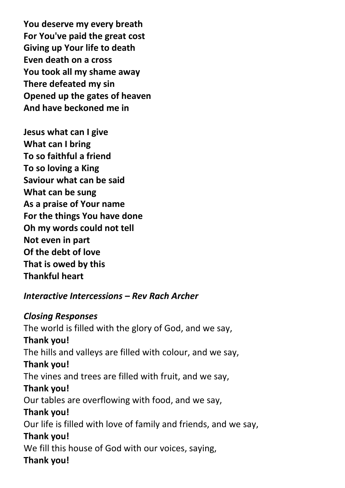**You deserve my every breath For You've paid the great cost Giving up Your life to death Even death on a cross You took all my shame away There defeated my sin Opened up the gates of heaven And have beckoned me in**

**Jesus what can I give What can I bring To so faithful a friend To so loving a King Saviour what can be said What can be sung As a praise of Your name For the things You have done Oh my words could not tell Not even in part Of the debt of love That is owed by this Thankful heart**

#### *Interactive Intercessions – Rev Rach Archer*

#### *Closing Responses*

The world is filled with the glory of God, and we say, **Thank you!** The hills and valleys are filled with colour, and we say, **Thank you!** The vines and trees are filled with fruit, and we say, **Thank you!** Our tables are overflowing with food, and we say, **Thank you!** Our life is filled with love of family and friends, and we say, **Thank you!** We fill this house of God with our voices, saying, **Thank you!**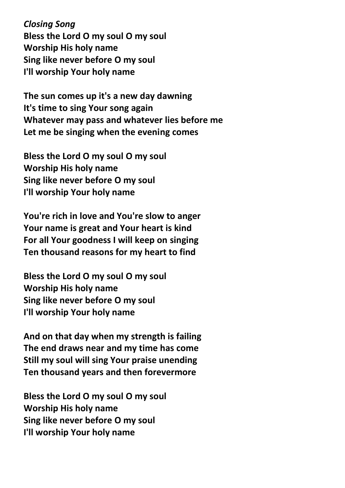*Closing Song* **Bless the Lord O my soul O my soul Worship His holy name Sing like never before O my soul I'll worship Your holy name**

**The sun comes up it's a new day dawning It's time to sing Your song again Whatever may pass and whatever lies before me Let me be singing when the evening comes**

**Bless the Lord O my soul O my soul Worship His holy name Sing like never before O my soul I'll worship Your holy name**

**You're rich in love and You're slow to anger Your name is great and Your heart is kind For all Your goodness I will keep on singing Ten thousand reasons for my heart to find**

**Bless the Lord O my soul O my soul Worship His holy name Sing like never before O my soul I'll worship Your holy name**

**And on that day when my strength is failing The end draws near and my time has come Still my soul will sing Your praise unending Ten thousand years and then forevermore**

**Bless the Lord O my soul O my soul Worship His holy name Sing like never before O my soul I'll worship Your holy name**